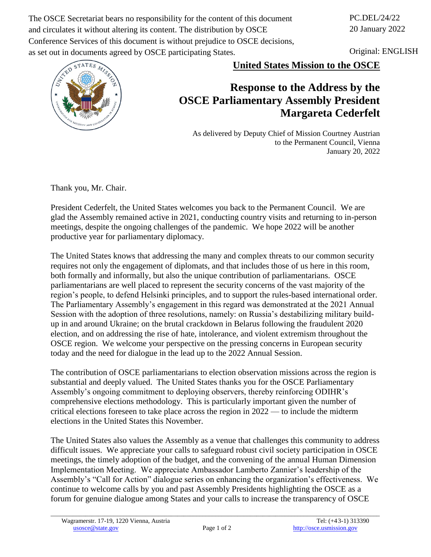The OSCE Secretariat bears no responsibility for the content of this document and circulates it without altering its content. The distribution by OSCE Conference Services of this document is without prejudice to OSCE decisions, as set out in documents agreed by OSCE participating States.

PC.DEL/24/22 20 January 2022

Original: ENGLISH



**United States Mission to the OSCE**

## **Response to the Address by the OSCE Parliamentary Assembly President Margareta Cederfelt**

As delivered by Deputy Chief of Mission Courtney Austrian to the Permanent Council, Vienna January 20, 2022

Thank you, Mr. Chair.

President Cederfelt, the United States welcomes you back to the Permanent Council. We are glad the Assembly remained active in 2021, conducting country visits and returning to in-person meetings, despite the ongoing challenges of the pandemic. We hope 2022 will be another productive year for parliamentary diplomacy.

The United States knows that addressing the many and complex threats to our common security requires not only the engagement of diplomats, and that includes those of us here in this room, both formally and informally, but also the unique contribution of parliamentarians. OSCE parliamentarians are well placed to represent the security concerns of the vast majority of the region's people, to defend Helsinki principles, and to support the rules-based international order. The Parliamentary Assembly's engagement in this regard was demonstrated at the 2021 Annual Session with the adoption of three resolutions, namely: on Russia's destabilizing military buildup in and around Ukraine; on the brutal crackdown in Belarus following the fraudulent 2020 election, and on addressing the rise of hate, intolerance, and violent extremism throughout the OSCE region. We welcome your perspective on the pressing concerns in European security today and the need for dialogue in the lead up to the 2022 Annual Session.

The contribution of OSCE parliamentarians to election observation missions across the region is substantial and deeply valued. The United States thanks you for the OSCE Parliamentary Assembly's ongoing commitment to deploying observers, thereby reinforcing ODIHR's comprehensive elections methodology. This is particularly important given the number of critical elections foreseen to take place across the region in 2022 — to include the midterm elections in the United States this November.

The United States also values the Assembly as a venue that challenges this community to address difficult issues. We appreciate your calls to safeguard robust civil society participation in OSCE meetings, the timely adoption of the budget, and the convening of the annual Human Dimension Implementation Meeting. We appreciate Ambassador Lamberto Zannier's leadership of the Assembly's "Call for Action" dialogue series on enhancing the organization's effectiveness. We continue to welcome calls by you and past Assembly Presidents highlighting the OSCE as a forum for genuine dialogue among States and your calls to increase the transparency of OSCE